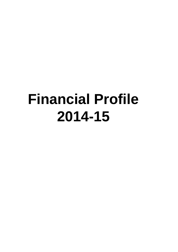# **Financial Profile 2014-15**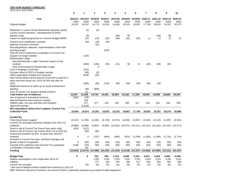#### **TEN YEAR BUDGET FORECAST**

| 2013-14 to 2023-2024                                                                                         | 0               |                 | 2               | 3         |                         |                 |                 | 7               | 8                                                                                      | 9                       | 10              |
|--------------------------------------------------------------------------------------------------------------|-----------------|-----------------|-----------------|-----------|-------------------------|-----------------|-----------------|-----------------|----------------------------------------------------------------------------------------|-------------------------|-----------------|
|                                                                                                              |                 |                 |                 |           |                         |                 |                 |                 |                                                                                        |                         |                 |
| Year                                                                                                         | 2013/14<br>£000 | 2014/15<br>£000 | 2015/16<br>£000 | £000      | 2016/17 2017/18<br>£000 | 2018/19<br>£000 | 2019/20<br>£000 | 2020-21<br>£000 | £000                                                                                   | 2021-22 2022-23<br>£000 | 2023-24<br>£000 |
| <b>Original Budget</b>                                                                                       | 16,307          | 16,307          | 14,773          | 15,201    | 14,833                  | 15,515          | 16,667          | 17,756          | 18,633                                                                                 | 19,257                  | 20,275          |
| Reduction in costs of Early Retirements (pension strain)<br>County Council elections - reinstatement of SADC |                 | (2)             | (5)             |           |                         |                 |                 |                 |                                                                                        |                         |                 |
| election costs                                                                                               |                 | 89              |                 |           | (89)                    | 89              |                 |                 | (89)                                                                                   | 89                      |                 |
| Impact of capital programme on revenue budget (MRP)                                                          |                 | 152             | (15)            | (32)      | (40)                    | (42)            | (49)            | 11              | 12                                                                                     | 12                      | 12              |
| Pension fund contribution increase                                                                           |                 | 200             | 100             | 100       |                         |                 |                 |                 |                                                                                        |                         |                 |
| National Insurance increase<br>Recycling/refuse collection-implementation of the 60%                         |                 |                 | 100             |           |                         |                 |                 |                 |                                                                                        |                         |                 |
| recycling target                                                                                             |                 |                 |                 | (100)     |                         |                 |                 |                 |                                                                                        |                         |                 |
| One-off cost to implement Localisation of Council Tax                                                        |                 |                 |                 |           |                         |                 |                 |                 |                                                                                        |                         |                 |
| Support no longer needed                                                                                     |                 | (150)           |                 |           |                         |                 |                 |                 |                                                                                        |                         |                 |
| <b>Westminster Lodge</b>                                                                                     |                 |                 |                 |           |                         |                 |                 |                 |                                                                                        |                         |                 |
| New Westminster Lodge-Revenue impact of new                                                                  |                 |                 |                 |           |                         |                 |                 |                 |                                                                                        |                         |                 |
| contract                                                                                                     |                 | (382)           | (158)           | (35)      | (21)                    | 56              | 21              | (26)            | (60)                                                                                   | 326                     |                 |
| Cost of borrowing for Westminster Lodge                                                                      |                 |                 | ∩               |           |                         |                 |                 |                 |                                                                                        |                         |                 |
| Cost of Strategic Local Plan<br>Full year effect of 2013-14 budget savings                                   |                 | (121)<br>(98)   | (9)             |           |                         |                 |                 |                 |                                                                                        |                         |                 |
| Other expenditure funded from reserves                                                                       |                 | (618)           | (45)            |           |                         |                 |                 |                 |                                                                                        |                         |                 |
| New Homes Bonus (Each tranche of income is paid for 6                                                        |                 |                 |                 |           |                         |                 |                 |                 |                                                                                        |                         |                 |
| years and then drops out; 2015-16 35% top-slice for                                                          |                 |                 |                 |           |                         |                 |                 |                 |                                                                                        |                         |                 |
| LEP)                                                                                                         |                 | (350)           | 283             | (733)     | 380                     | 564             | 599             | 350             | 200                                                                                    |                         |                 |
| Additional resource to catch up on asset maintenance                                                         |                 |                 |                 |           |                         |                 |                 |                 |                                                                                        |                         |                 |
| backlog                                                                                                      |                 | 280             | (300)           |           |                         |                 |                 |                 |                                                                                        |                         |                 |
| Cost of Council Tax Support default scheme*<br>Total before use of balances                                  | 16,307          | 22<br>15,329    | 14,724          | 14,401    | 15,063                  | 16,182          | 17,238          | 18,091          | 18,696                                                                                 | 19,684                  | 20,287          |
| Use of general & earmarked reserves                                                                          | (663)           | (45)            |                 |           |                         |                 |                 |                 |                                                                                        |                         |                 |
| Special Expense Area reserves created                                                                        |                 | 146             |                 |           |                         |                 |                 |                 |                                                                                        |                         |                 |
| Inflation (pay, non pay and fees and charges)                                                                |                 | 477             | 477             | 432       | 452                     | 485             | 517             | 543             | 561                                                                                    | 591                     | 609             |
| Approved savings                                                                                             |                 | (1,033)         |                 |           |                         |                 |                 |                 |                                                                                        |                         |                 |
| Net expenditure before Gov't support, Council Tax,                                                           |                 |                 |                 |           |                         |                 |                 |                 |                                                                                        |                         |                 |
| <b>Collection Fund</b>                                                                                       | 15,644          | 14,874          | 15,201          | 14,833    | 15,515                  | 16,667          | 17,756          | 18,633          | 19,257                                                                                 | 20,275                  | 20.895          |
| <b>Funded By</b>                                                                                             |                 |                 |                 |           |                         |                 |                 |                 |                                                                                        |                         |                 |
| <b>Total Government support</b>                                                                              | (5, 522)        | (4,795)         | (4, 165)        | (3,749)   | (3,374)                 | (3,036)         | (3,097)         | (3, 159)        | (3,222)                                                                                | (3,287)                 | (3,352)         |
| Council Tax (includes technical changes from 2013-14                                                         |                 |                 |                 |           |                         |                 |                 |                 |                                                                                        |                         |                 |
| onwards)                                                                                                     | (9,868)         | (9,868)         | (9,951)         |           |                         |                 |                 |                 | $(9,991)$ $(10,031)$ $(10,071)$ $(10,111)$ $(10,151)$ $(10,191)$ $(10,231)$ $(10,271)$ |                         |                 |
| Grant in aid of Council Tax Freeze (two years only)                                                          | (105)           | (107)           |                 |           |                         |                 |                 |                 |                                                                                        |                         |                 |
| Grant in aid of Council Tax Freeze (2014-15 & 2015-16)                                                       |                 | (95)            | (95)            |           |                         |                 |                 |                 |                                                                                        |                         |                 |
| Council tax increase (at 2%) in years from 2014/15                                                           |                 |                 |                 |           |                         |                 |                 |                 |                                                                                        |                         |                 |
| onwards<br>Increase in Council Tax base-technical changes and                                                | 0               | 0               | (197)           | (400)     | (608)                   | (821)           | (1,039)         | (1,262)         | (1,490)                                                                                | (1,724)                 | (1,724)         |
| growth in Band D properties                                                                                  | $\Omega$        | (83)            | (40)            | (40)      | (40)                    | (40)            | (40)            | (40)            | (40)                                                                                   | (40)                    | (40)            |
| Transfer from collection fund (Council Tax surpluses)                                                        | (149)           | (20)            | (50)            | (50)      | (50)                    | (50)            | (50)            | (50)            | (50)                                                                                   | (50)                    | (50)            |
| Localisation of Business Rate                                                                                |                 | 94              |                 |           |                         |                 |                 |                 |                                                                                        |                         |                 |
| <b>Funding</b>                                                                                               | (15, 644)       | (14, 874)       | (14, 498)       | (14, 230) | (14, 103)               | (14, 018)       | (14, 337)       | (14, 662)       | (14, 993)                                                                              | (15, 331)               | (15, 437)       |
|                                                                                                              | $\mathbf 0$     | 0               | 702             | 603       | 1,412                   |                 |                 | 3,972           | 4,264                                                                                  | 4,943                   | 5,458           |
| <b>Budget Gap</b><br>Inflation assumption in the model after 2014-15                                         |                 |                 | 3.0%            | 3.0%      | 3.0%                    | 2,649<br>3.0%   | 3,419<br>3.0%   | 3.0%            | 3.0%                                                                                   | 3.0%                    | 3.0%            |
| Inflation                                                                                                    |                 |                 | 477             | 432       | 452                     | 485             | 517             | 543             | 561                                                                                    | 591                     | 609             |
| Council Tax increase                                                                                         |                 | 0%              | 0%              | 2%        | 2%                      | 2%              | 2%              | 2%              | 2%                                                                                     | 2%                      | 2%              |

\* Net cost of default scheme funded from reserves in 2013-14

MRP- Minimum Revenue Provision- the amount SADC is statutorily required to put aside for debt repayment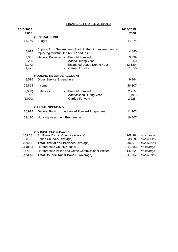## **FINANCIAL PROFILE 2014/2015**

| 2013/2014<br>£'000       |                                      |                                                                                                 | 2014/2015<br>£'000      |            |
|--------------------------|--------------------------------------|-------------------------------------------------------------------------------------------------|-------------------------|------------|
|                          | <b>GENERAL FUND</b>                  |                                                                                                 |                         |            |
| 14,740                   | <b>Budget</b>                        |                                                                                                 | 14,874                  |            |
| 4,618                    |                                      | Support from Government (Start Up Funding Assessment) -<br>replacing redistributed NNDR and RSG | 4,890                   |            |
| 3,361                    | <b>General Balances -</b>            | <b>Brought Forward</b>                                                                          | 3,539                   |            |
| 250                      |                                      | <b>Added During Year</b>                                                                        | 250                     |            |
| (2, 140)                 |                                      | <b>Estimated Usage During Year</b>                                                              | (2, 139)                |            |
| 1,471                    |                                      | <b>Carried Forward</b>                                                                          | 1,650                   |            |
|                          | <b>HOUSING REVENUE ACCOUNT</b>       |                                                                                                 |                         |            |
| 8,516                    | <b>Gross Service Expenditure</b>     |                                                                                                 | 9,264                   |            |
| 25,864                   | Income                               |                                                                                                 | 28,107                  |            |
| (2,000)<br>42<br>(2,000) | <b>Balances</b>                      | <b>Brought Forward</b><br>Added/Used During Year<br><b>Carried Forward</b>                      | 2,716<br>(491)<br>2,225 |            |
|                          | <b>CAPITAL SPENDING</b>              |                                                                                                 |                         |            |
| 10,912                   | <b>General Fund</b>                  | Approved Forward Programme                                                                      | 11,103                  |            |
| 13,120                   | Housing Investment Programme         |                                                                                                 | 10,607                  |            |
|                          | <b>COUNCIL TAX at Band D</b>         |                                                                                                 |                         |            |
| 168.28                   | St Albans District Council (average) |                                                                                                 | 168.28                  | no change  |
| 38.52                    | Parish Councils (average)            |                                                                                                 | 38.69                   | plus 0.44% |
| 206.80                   |                                      | <b>Total District and Parishes (average)</b>                                                    | 206.97                  | plus 0.08% |
| 1,118.83                 | <b>Hertfordshire County Council</b>  |                                                                                                 | 1,118.83                | no change  |
| 147.82                   |                                      | Hertfordshire Police and Crime Commissioner Precept                                             | 147.82                  | no change  |
| 1,473.45                 |                                      | Total Council Tax at Band D (average)                                                           | 1,473.62                | plus 0.01% |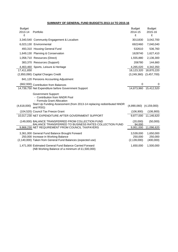#### **SUMMARY OF GENERAL FUND BUDGETS 2013-14 TO 2015-16**

| <b>Budget</b><br>2013-14<br>£ | Portfolio                                                                                                                                                                       | <b>Budget</b><br>2014-15<br>£         | <b>Budget</b><br>2015-16<br>£     |
|-------------------------------|---------------------------------------------------------------------------------------------------------------------------------------------------------------------------------|---------------------------------------|-----------------------------------|
|                               | 3,340,540 Community Engagement & Localism                                                                                                                                       | 3011830                               | 3,042,700                         |
|                               | 6,023,130 Environmental                                                                                                                                                         | 6922460                               | 7,040,040                         |
|                               | 493,310 Housing General Fund                                                                                                                                                    | 532610                                | 536,760                           |
|                               | 1,649,130 Planning & Conservation                                                                                                                                               | 1628740                               | 1,627,410                         |
|                               | 1,058,710 Resources (Direct)                                                                                                                                                    | 1,555,880                             | 2,136,300                         |
|                               | 383,370 Resources (Support)                                                                                                                                                     | 206780                                | 144,660                           |
|                               | 4,463,460 Sports, Leisure & Heritage                                                                                                                                            | 4,265,020                             | 4,342,350                         |
| 17,411,650                    |                                                                                                                                                                                 | 18,123,320                            | 18,870,220                        |
|                               | (2,850,090) Capital Charges Credit                                                                                                                                              |                                       | $(3,249,360)$ $(3,457,700)$       |
|                               | 841,120 Pensions Accounting Adjustment                                                                                                                                          |                                       |                                   |
|                               | (662,930) Contribution from Balances                                                                                                                                            | $\mathbf 0$                           | 0                                 |
|                               | 14,739,750 Net Expenditure before Government Support                                                                                                                            |                                       | 14,873,960 15,412,520             |
| (4,618,000)                   | <b>Government Support:</b><br>- Contribution from NNDR Pool<br>- Formula Grant Allocation<br>Start Up Funding Assessment (from 2013-14 replacing redistributed NNDR<br>and RSG) | $(4,890,060)$ $(4,159,000)$           |                                   |
|                               | (104,520) Council Tax Freeze Grant                                                                                                                                              | (106,900)                             | (106,900)                         |
|                               | 10,017,230 NET EXPENDITURE AFTER GOVERNMENT SUPPORT                                                                                                                             |                                       | 9,877,000 11,146,620              |
|                               | (149,000) BALANCE TRANSFERRED FROM COLLECTION FUND<br>BALANCE TRANSFERRED TO BUSINESS RATES COLLECTION FUND                                                                     | (20,000)<br>94.000                    | (50,000)                          |
|                               | 9,868,230 NET REQUIREMENT FROM COUNCIL TAXPAYERS                                                                                                                                | 9,951,000                             | 11,096,620                        |
|                               | 3,361,000 General Fund Balance Brought Forward<br>250,000 Increase in Working Balance<br>(2,140,000) Taken from General Fund Balances (expected use)                            | 3,539,000<br>250,000<br>(2, 139, 000) | 1,650,000<br>250,000<br>(400,000) |
|                               | 1,471,000 Estimated General Fund Balance Carried Forward<br>(NB Working Balance of a minimum of £1,500,000)                                                                     | 1,650,000                             | 1,500,000                         |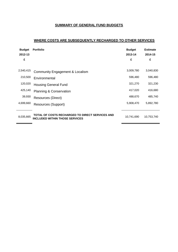## **SUMMARY OF GENERAL FUND BUDGETS**

## **WHERE COSTS ARE SUBSEQUENTLY RECHARGED TO OTHER SERVICES**

| <b>Budget</b><br>2012-13<br>£ | <b>Portfolio</b>                                                                         | <b>Budget</b><br>2013-14<br>£ | <b>Estimate</b><br>2014-15<br>£ |
|-------------------------------|------------------------------------------------------------------------------------------|-------------------------------|---------------------------------|
| 2,540,415                     | Community Engagement & Localism                                                          | 3,009,780                     | 3,040,830                       |
| 210,500                       | Environmental                                                                            | 596,480                       | 596,480                         |
| 120,020                       | <b>Housing General Fund</b>                                                              | 321,270                       | 321,230                         |
| 425,140                       | <b>Planning &amp; Conservation</b>                                                       | 417,020                       | 416,680                         |
| 39,930                        | Resources (Direct)                                                                       | 488,670                       | 485,740                         |
| 4,699,660                     | Resources (Support)                                                                      | 5,908,470                     | 5,892,780                       |
| 8,035,665                     | TOTAL OF COSTS RECHARGED TO DIRECT SERVICES AND<br><b>INCLUDED WITHIN THOSE SERVICES</b> | 10,741,690                    | 10,753,740                      |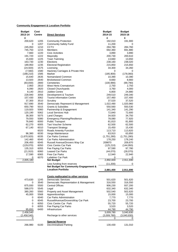#### **Community Engagement & Localism Portfolio**

| <b>Budget</b>        | Cost          |                                                  | <b>Budget</b>        | <b>Budget</b>        |
|----------------------|---------------|--------------------------------------------------|----------------------|----------------------|
| 2013-14              | <b>Centre</b> | <b>Direct Services</b>                           | 2014-15              | 2015-16              |
| £                    |               |                                                  | £                    | £                    |
| 200,620              | 1205          | <b>Community Protection</b>                      | 192,010              | 191,900              |
| 0                    | 1207          | <b>Community Safety Fund</b>                     | 11,200               | 0                    |
| 245,050              | 1210          | <b>CCTV</b>                                      | 284,780              | 284,760              |
| 745,750              | 1215          | <b>Members</b>                                   | 692,360              | 691,880              |
| 7,660                | 1220          | Civic Activities                                 | 3,890                | 3,890                |
| 191,720              | 1222          | Mayoralty                                        | 200,730              | 200,610              |
| 15,830               | 1225          | Town Twinning                                    | 13,660               | 13,650               |
| 163,730              | 1230          | Elections                                        | 238,160              | 238,020              |
| 189,950              | 1235          | <b>Electoral Registration</b>                    | 215,850              | 215,650              |
| (24, 920)            | 1575          | Licensing                                        | 34,300               | 34,260               |
| (7, 560)             | 1580          | Hackney Carriages & Private Hire                 | 0                    | 0                    |
| (188, 210)           | 1585          | Market                                           | (185,900)            | (178,060)            |
| 15,640               | 2635          | Nomansland Common                                | 10,390               | 10,390               |
| 13,920               | 2640          | <b>Bricketwood Common</b>                        | 8,660                | 8,660                |
| (83, 830)            | 2800          | Cemeteries                                       | (100, 990)           | (99, 790)            |
| 2,950                | 2810          | West Herts Crematorium                           | 2,750                | 2,750                |
| 6,090                | 2820          | <b>Closed Churchyards</b>                        | 3,760                | 4,000                |
| 8,140                | 2910          | <b>Jubilee Centre</b>                            | 6,800                | 24,880               |
| 228,940              | 3056          | Development & Tourism                            | 249,510              | 249,340              |
| 157,430              | 3062          | <b>Tourist Information Centre</b>                | 157,460              | 157,400              |
| 37,300               | 3510          | Scrutiny                                         | 37,520               | 37,520               |
| 917,690              | 3540          | Democratic Represent & Management                | 1,022,490            | 1,020,960            |
| 650,790              | 5015          | <b>Grants &amp; Subsidies</b>                    | 550,560              | 550,530              |
| 119,920              | 5060          | Partnership & Engagement                         | 141,340              | 141,290              |
| 120,190              | 5062          | <b>Local Services Hub</b>                        | 72,840               | 72,600               |
| 38,300               | 5075          | <b>Land Charges</b>                              | 34,920               | 34,750               |
| 79,550               | 5080          | <b>Emergency Planning/Resilience</b>             | 78,080               | 77,920               |
| 76,840               | 6000          | <b>Public Transport</b>                          | 81,810               | 81,800               |
| 62,270               | 6005          | Taxi Voucher Scheme                              | 62,500               | 62,500               |
| 67,140               | 6010          | <b>Transport Strategy</b>                        | 15,450               | 15,430               |
|                      | 6020          | Roads Amenity Function                           | 113,710              | 113,820              |
| 96,380               | 6030          | Verge Maintenance                                | 63,910               | 63,850               |
| (1,670,920)          | 6035          | <b>Car Parks Contract</b>                        | (1,751,280)          | (1,751,280)          |
| 142,460              | 6040          | Car Parks Administration                         | 178,250<br>209870    | 178,240              |
| 206,450              | 6045          | Russell Avenue/Drovers Way Car                   |                      | 209,870              |
| (129,070)<br>135,310 | 6050<br>6055  | Civic Centre Car Park<br>Fee Paying Car Parks    | (125, 210)<br>97,590 | (144, 950)<br>97,780 |
| (21, 910)            | 6060          | <b>Leased Car Parks</b>                          | (44,070)             | (28,070)             |
| 17,590               | 6065          | Free Car Parks                                   | 12,940               | 22,940               |
| 0                    | 6070          | Lydekker Car Park                                | 0                    |                      |
| 2,835,180            |               | <b>Net Budget</b>                                | 2,892,600            | 2,911,690            |
|                      |               | Less funding from reserves                       | (11,200)             |                      |
|                      |               | Net Budget for Community Engagement &            |                      | 0                    |
|                      |               | <b>Localism Portfolio</b>                        | 2,881,400            | 2,911,690            |
|                      |               |                                                  |                      |                      |
|                      |               | Costs reallocated to other services              |                      |                      |
|                      | 1245          | <b>Democratic Services</b>                       |                      |                      |
| 473,630<br>0         | 3540          | Democratic Representation & Management           | 501,620<br>316,550   | 501,620<br>316,550   |
| 875,930              | 5500          | <b>Central Offices</b>                           |                      |                      |
| 588,070              | 5545          | Legal                                            | 906,230<br>632,340   | 937,200<br>632,340   |
|                      | 5560          |                                                  | 502,540              |                      |
| 380,260<br>45,000    | 5568          | Property and Asset Management<br>Apprenticeships | 15,000               | 502,620<br>15,000    |
| 0                    | 6040          | Car Parks Administration                         | 7,770                | 7,770                |
| 0                    | 6045          | RussellAvenue/DroversWay Car Park                | 23,700               | 23,700               |
| 0                    | 6050          | Civic Centre Car Park                            | 55,720               | 55,720               |
| 0                    | 6055          | Fee Paying Car Parks                             | 3,520                | 3,520                |
| 95,650               | 6400          | Infrastructure                                   | 44,790               | 44,790               |
| 2,458,540            |               |                                                  | 3,009,780            | 3,040,830            |
| (2,458,540)          |               | Recharge to other services                       | (3,009,780)          | (3,040,830)          |
| 0                    |               |                                                  | 0                    | 0                    |
|                      |               |                                                  |                      |                      |
|                      |               | <b>Special Reserve</b>                           |                      |                      |
| 266,980              | 6100          | <b>Decriminalised Parking</b>                    | 130,430              | 131,010              |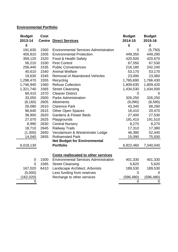# **Environmental Portfolio**

| <b>Budget</b><br><b>Cost</b><br>2013-14<br><b>Centre Direct Services</b><br>£ |                                              | <b>Budget</b><br>2014-15<br>£ | <b>Budget</b><br>2015-16<br>£ |
|-------------------------------------------------------------------------------|----------------------------------------------|-------------------------------|-------------------------------|
| 191,630<br>1500                                                               | <b>Environmental Services Administration</b> | 0                             | (5,750)                       |
| 405,910<br>1505<br><b>Environmental Protection</b>                            |                                              | 449,350                       | 449,290                       |
| 359,120<br>1520<br>Food & Health Safety                                       |                                              | 420,500                       | 420,670                       |
| 1530<br>56,210<br><b>Pest Control</b>                                         |                                              | 67,550                        | 67,530                        |
| 256,440<br>1535<br><b>Public Conveniences</b>                                 |                                              | 216,180                       | 242,240                       |
| 40,610<br>1540<br><b>Animal Welfare</b>                                       |                                              | 53,170                        | 53,170                        |
| 19,630<br>1545                                                                | <b>Removal of Abandoned Vehicles</b>         | 23,090                        | 23,060                        |
| 1,298,470<br>1555<br>Recycling                                                |                                              | 1,765,690                     | 1,766,430                     |
| 1560<br><b>Refuse Collection</b><br>1,746,940                                 |                                              | 1,809,630                     | 1,809,420                     |
| 1,321,740<br>1565<br><b>Street Cleansing</b>                                  |                                              | 1,434,530                     | 1,434,500                     |
| 1570<br>69,410<br><b>Cleaner District</b>                                     |                                              | 0                             | $\Omega$                      |
| <b>Parks Administration</b><br>33,050<br>2600                                 |                                              | 326,250                       | 326,250                       |
| (8, 160)<br>2605<br>Allotments                                                |                                              | (9,090)                       | (8,590)                       |
| 2610<br>26,080<br><b>Clarence Park</b>                                        |                                              | 43,340                        | 68,290                        |
| 96,640<br>2615<br><b>Other Open Spaces</b>                                    |                                              | 16,410                        | 20,470                        |
| 2620<br><b>Gardens &amp; Flower Beds</b><br>36,900                            |                                              | 27,400                        | 27,530                        |
| 27,070<br>2625<br>Playgrounds                                                 |                                              | 191,410                       | 191,510                       |
| 2630<br>8,990<br><b>Central Nursery</b>                                       |                                              | 8,270                         | 8,270                         |
| 18,710<br>2645<br><b>Railway Trails</b>                                       |                                              | 17,310                        | 17,380                        |
| 2650<br>(1,300)                                                               | Verulamium & Westminster Lodge               | 46,380                        | 52,440                        |
| <b>Rothamsted Park</b><br>14,040<br>2655                                      |                                              | 15,090                        | 75,930                        |
|                                                                               | <b>Net Budget for Environmental</b>          |                               |                               |
| 6,018,130<br><b>Portfolio</b>                                                 |                                              | 6,922,460                     | 7,040,040                     |
|                                                                               |                                              |                               |                               |
|                                                                               | <b>Costs reallocated to other services</b>   |                               |                               |
| 1500<br>0                                                                     | <b>Environmental Services Administration</b> | 401,330                       | 401,330                       |
| 1565<br><b>Street Cleansing</b><br>$\overline{0}$                             |                                              | 5,620                         | 5,620                         |
| 6410<br>167,020                                                               | Landscape Architect, Arborists               | 189,530                       | 189,530                       |
| (5,000)                                                                       | Less funding from reserves                   | $\overline{0}$                | 0                             |
| (162, 020)                                                                    | Recharge to other services                   | (596, 480)                    | (596,480)                     |
| O                                                                             |                                              | $\overline{0}$                | $\mathbf 0$                   |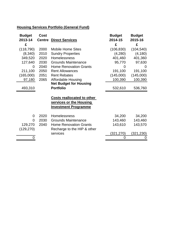# **Housing Services Portfolio (General Fund)**

| <b>Budget</b> | <b>Cost</b>   |                                   | <b>Budget</b> | <b>Budget</b> |
|---------------|---------------|-----------------------------------|---------------|---------------|
| 2013-14       | <b>Centre</b> | <b>Direct Services</b>            | 2014-15       | 2015-16       |
| £             |               |                                   | £             | £             |
| (118, 790)    | 2000          | <b>Mobile Home Sites</b>          | (106, 830)    | (104, 540)    |
| (8,340)       | 2010          | <b>Sundry Properties</b>          | (4,280)       | (4, 180)      |
| 349,520       | 2020          | Homelessness                      | 401,460       | 401,360       |
| 127,640       | 2030          | <b>Grounds Maintenance</b>        | 95,770        | 97,630        |
| 0             | 2040          | <b>Home Renovation Grants</b>     |               | $\Omega$      |
| 211,100       | 2050          | <b>Rent Allowances</b>            | 191,100       | 191,100       |
| (165,000)     | 2051          | <b>Rent Rebates</b>               | (145,000)     | (145,000)     |
| 97,180        | 2065          | <b>Affordable Housing</b>         | 100,390       | 100,390       |
|               |               | <b>Net Budget for Housing</b>     |               |               |
| 493,310       |               | <b>Portfolio</b>                  | 532,610       | 536,760       |
|               |               |                                   |               |               |
|               |               | <b>Costs reallocated to other</b> |               |               |
|               |               | services or the Housing           |               |               |
|               |               | <b>Investment Programme</b>       |               |               |
|               |               |                                   |               |               |
| 0             | 2020          | Homelessness                      | 34,200        | 34,200        |
| 0             | 2030          | <b>Grounds Maintenance</b>        | 143,460       | 143,460       |
| 129,270       | 2040          | <b>Home Renovation Grants</b>     | 143,610       | 143,570       |
| (129, 270)    |               | Recharge to the HIP & other       |               |               |
|               |               | services                          | (321,270)     | (321,230)     |
| 0             |               |                                   | 0             | 0             |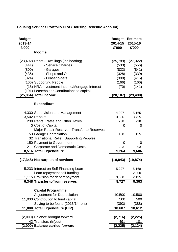# **Housing Services Portfolio HRA (Housing Revenue Account)**

| <b>Budget</b><br>2013-14<br>£'000                                                                                                                                                                                                                                              | 2014-15<br>£'000                                               | <b>Budget Estimate</b><br>2015-16<br>£'000                      |
|--------------------------------------------------------------------------------------------------------------------------------------------------------------------------------------------------------------------------------------------------------------------------------|----------------------------------------------------------------|-----------------------------------------------------------------|
| <b>Income</b>                                                                                                                                                                                                                                                                  |                                                                |                                                                 |
| (23,492) Rents - Dwellings (inc heating)<br>- Service Charges<br>(441)<br>(800)<br>- Garages<br>- Shops and Other<br>(435)<br>- Leaseholders<br>(324)<br>(166) Supporting People<br>(15) HRA Investment Income/Mortgage Interest<br>(191) Leaseholder Contributions to capital | (25, 789)<br>(533)<br>(822)<br>(328)<br>(399)<br>(166)<br>(70) | (27, 022)<br>(556)<br>(841)<br>(339)<br>(415)<br>(166)<br>(141) |
| (25,864) Total Income                                                                                                                                                                                                                                                          | (28, 107)                                                      | (29, 480)                                                       |
| <b>Expenditure</b>                                                                                                                                                                                                                                                             |                                                                |                                                                 |
| 4,330 Supervision and Management<br>3,502 Repairs<br>238 Rents, Rates and Other Taxes                                                                                                                                                                                          | 4,927<br>3,666<br>238                                          | 5,165<br>3,755<br>238                                           |
| 0 Cost of Capital<br>Major Repair Reserve - Transfer to Reserves<br>53 Garage Depreciation                                                                                                                                                                                     | 0<br>150                                                       | 0<br>155                                                        |
| 32 Transitional Relief (Supporting People)<br>150 Payment to Government<br>211 Corporate and Democratic Costs                                                                                                                                                                  | 0                                                              | 0                                                               |
| 8,516 Total Expenditure                                                                                                                                                                                                                                                        | 283<br>9,264                                                   | 293<br>9,606                                                    |
| (17,348) Net surplus of services                                                                                                                                                                                                                                               | (18, 843)                                                      | (19,874)                                                        |
| 5,233 Interest on Self Financing Loan<br>Loan repayment self funding                                                                                                                                                                                                           | 5,227                                                          | 5,168<br>2,000                                                  |
| 1,115 Provision for debt repayment<br>6,348 Transfer to/from reserves                                                                                                                                                                                                          | 3,500<br>8,727                                                 | 2,195<br>9,363                                                  |
| <b>Capital Programme</b>                                                                                                                                                                                                                                                       |                                                                |                                                                 |
| <b>Adjustment for Depreciation</b><br>11,000 Contribution to fund capital                                                                                                                                                                                                      | 10,500<br>500                                                  | 10,500<br>500                                                   |
| Saving to be found (2013/14 rent)<br>11,000 Total Expenditure (HIP)                                                                                                                                                                                                            | (393)<br>10,607                                                | (388)<br>10,612                                                 |
| (2,000) Balance brought forward                                                                                                                                                                                                                                                | (2,716)                                                        | (2,225)                                                         |
| 42 Transfers (In)/out<br>(2,000) Balance carried forward                                                                                                                                                                                                                       | 491<br>(2, 225)                                                | 101<br>(2, 124)                                                 |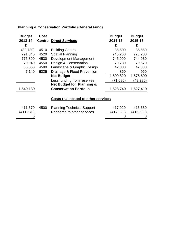# **Planning & Conservation Portfolio (General Fund)**

| <b>Budget</b><br>2013-14 | Cost | <b>Centre Direct Services</b>        | <b>Budget</b><br>2014-15 | <b>Budget</b><br>2015-16 |
|--------------------------|------|--------------------------------------|--------------------------|--------------------------|
| £                        |      |                                      | £                        | £                        |
| (32,730)                 | 4510 | <b>Building Control</b>              | 85,600                   | 85,550                   |
| 791,840                  | 4520 | <b>Spatial Planning</b>              | 745,260                  | 723,200                  |
| 775,890                  | 4530 | Development Management               | 745,990                  | 744,930                  |
| 70,940                   | 4550 | Design & Conservation                | 79,730                   | 79,670                   |
| 36,050                   | 4580 | Landscape & Graphic Design           | 42,380                   | 42,380                   |
| 7,140                    | 6025 | Drainage & Flood Prevention          | 860                      | 960                      |
|                          |      | <b>Net Budget</b>                    | 1,699,820                | 1,676,690                |
|                          |      | Less funding from reserves           | (71,080)                 | (49, 280)                |
|                          |      | <b>Net Budget for Planning &amp;</b> |                          |                          |
| 1,649,130                |      | <b>Conservation Portfolio</b>        | 1,628,740                | 1,627,410                |
|                          |      |                                      |                          |                          |

# **Costs reallocated to other services**

| 411,670   | 4500 Planning Technical Support | 417,020   | 416,680    |
|-----------|---------------------------------|-----------|------------|
| (411,670) | Recharge to other services      | (417,020) | (416, 680) |
|           |                                 |           |            |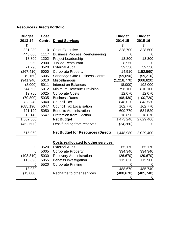# **Resources (Direct) Portfolio**

| <b>Budget</b><br>2013-14 | <b>Cost</b><br><b>Centre</b> | <b>Direct Services</b>                     | <b>Budget</b><br>2014-15 | <b>Budget</b><br>2015-16 |
|--------------------------|------------------------------|--------------------------------------------|--------------------------|--------------------------|
| £                        |                              |                                            | £                        | £                        |
| 331,230                  | 1110                         | <b>Chief Executive</b>                     | 328,700                  | 328,500                  |
| 443,000                  | 1117                         | <b>Business Process Reengineering</b>      | 0                        | $\Omega$                 |
| 18,800                   | 1202                         | <b>Project Leadership</b>                  | 18,800                   | 18,800                   |
| 8,950                    | 2900                         | <b>Jubilee Restaurant</b>                  | 8,950                    | 0                        |
| 71,290                   | 3520                         | <b>External Audit</b>                      | 39,550                   | 39,550                   |
| (267, 410)               | 5000                         | <b>Corporate Property</b>                  | 14,510                   | (152, 560)               |
| (9, 150)                 | 5005                         | Sandridge Gate Business Centre             | (59, 690)                | (59, 210)                |
| (941, 940)               | 5010                         | <b>Miscellaneous</b>                       | (1,218,770)              | (668, 820)               |
| (8,000)                  | 5011                         | <b>Interest on Balances</b>                | (8,000)                  | 192,000                  |
| 644,600                  | 5012                         | Minimum Revenue Provision                  | 796,100                  | 810,100                  |
| 12,780                   | 5025                         | <b>Corporate Costs</b>                     | 12,070                   | 12,070                   |
| (70, 800)                | 5035                         | <b>Business Rates</b>                      | (98, 430)                | (100, 720)               |
| 788,240                  | 5040                         | <b>Council Tax</b>                         | 848,020                  | 843,530                  |
| (685, 190)               | 5047                         | <b>Council Tax Localisation</b>            | 162,770                  | 162,770                  |
| 721,120                  | 5050                         | <b>Benefits Administration</b>             | 609,770                  | 584,520                  |
| 10,140                   | 5547                         | <b>Protection from Eviction</b>            | 18,890                   | 18,870                   |
| 1,067,660                |                              | <b>Net Budget</b>                          | 1,473,240                | 2,029,400                |
| (452,600)                |                              | Less funding from reserves                 | (24,260)                 | 0                        |
| 615,060                  |                              | <b>Net Budget for Resources (Direct)</b>   | 1,448,980                | 2,029,400                |
|                          |                              | <b>Costs reallocated to other services</b> |                          |                          |
| $\mathbf 0$              | 3520                         | <b>External Audit</b>                      | 65,170                   | 65,170                   |
| $\overline{0}$           | 5005                         | <b>Corporate Property</b>                  | 334,340                  | 334,340                  |
| (103, 810)               | 5030                         | <b>Recovery Administration</b>             | (26, 670)                | (29, 670)                |
| 116,890                  | 5055                         | Benefits investigation                     | 115,830                  | 115,900                  |
| 0                        | 5520                         | <b>Corporate Printing</b>                  | $\overline{0}$           |                          |
| 13,080                   |                              |                                            | 488,670                  | 485,740                  |
| (13,080)                 |                              | Recharge to other services                 | (488, 670)               | (485, 740)               |
| 0                        |                              |                                            | $\mathbf 0$              | $\mathbf 0$              |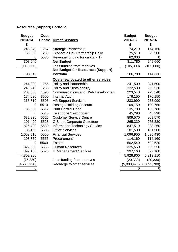# **Resources (Support) Portfolio**

| <b>Budget</b> | <b>Cost</b>   |                                            | <b>Budget</b> | <b>Budget</b> |
|---------------|---------------|--------------------------------------------|---------------|---------------|
| 2013-14       | <b>Centre</b> | <b>Direct Services</b>                     | 2014-15       | 2015-16       |
| £             |               |                                            | £             | £             |
| 248,040       | 1257          | <b>Strategic Partnership</b>               | 174,270       | 174,160       |
| 60,000        | 1259          | Economic Dev Partnership Deliv             | 75,510        | 75,500        |
| O             | 5530          | Revenue funding for capital (IT)           | 62,000        | $\Omega$      |
| 308,040       |               | <b>Net Budget</b>                          | 311,780       | 249,660       |
| (115,000)     |               | Less funding from reserves                 | (105,000)     | (105,000)     |
|               |               | <b>Net Budget for Resources (Support)</b>  |               |               |
| 193,040       |               | <b>Portfolio</b>                           | 206,780       | 144,660       |
|               |               | <b>Costs reallocated to other services</b> |               |               |
| 244,920       | 1255          | <b>Policy and Partnership</b>              | 241,500       | 241,500       |
| 249,240       | 1256          | <b>Policy and Sustainability</b>           | 222,530       | 222,530       |
| 203,000       | 1590          | <b>Communications and Web Development</b>  | 223,540       | 223,540       |
| 174,020       | 3500          | <b>Internal Audit</b>                      | 176,150       | 176,150       |
| 265,810       | 5505          | <b>HR Support Services</b>                 | 233,990       | 233,990       |
| 0             | 5510          | <b>Postage Holding Account</b>             | 109,750       | 109,750       |
| 133,930       | 5512          | <b>Print Central Code</b>                  | 135,780       | 135,780       |
| 0             | 5515          | <b>Telephone Switchboard</b>               | 45,290        | 45,290        |
| 632,830       | 5525          | <b>Customer Service Centre</b>             | 809,570       | 809,570       |
| 101,420       | 5528          | <b>GIS and Corporate Gazetteer</b>         | 265,330       | 265,330       |
| 826,420       | 5530          | <b>Information Technology Service</b>      | 847,510       | 833,260       |
| 88,160        | 5535          | <b>Office Services</b>                     | 181,500       | 181,500       |
| 1,053,510     | 5550          | <b>Financial Services</b>                  | 1,096,950     | 1,095,430     |
| 108,870       | 5555          | Procurement                                | 114,160       | 114,160       |
| 0             | 5560          | <b>Estates</b>                             | 502,540       | 502,620       |
| 322,990       | 5565          | <b>Human Resources</b>                     | 325,550       | 325,550       |
| 397,160       | 5570          | <b>IT Management Services</b>              | 397,160       | 397,160       |
| 4,802,280     |               |                                            | 5,928,800     | 5,913,110     |
| (75, 330)     |               | Less funding from reserves                 | (20, 330)     | (20, 330)     |
| (4,726,950)   |               | Recharge to other services                 | (5,908,470)   | (5,892,780)   |
| 0             |               |                                            | 0             | 0             |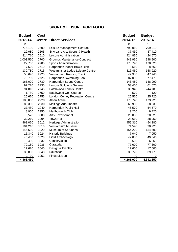# **SPORT & LEISURE PORTFOLIO**

| <b>Budget</b> | <b>Cost</b>   |                                        | <b>Budget</b> | <b>Budget</b> |
|---------------|---------------|----------------------------------------|---------------|---------------|
| 2013-14       | <b>Centre</b> | <b>Direct Services</b>                 | 2014-15       | 2015-16       |
| £             |               |                                        | £             | £             |
| 775,130       | 2500          | Leisure Management Contract            | 799,010       | 799,010       |
| 22,080        | 2505          | St Albans Arts Sports & Health         | 37,430        | 37,410        |
| 814,710       | 2510          | Leisure Administration                 | 424,830       | 424,670       |
| 1,003,560     | 2700          | <b>Grounds Maintenance Contract</b>    | 948,930       | 948,900       |
| 22,700        | 2705          | <b>Sports Administration</b>           | 178,740       | 178,620       |
| $-7,520$      | 2710          | Harpenden Indoor Bowls Rink            | $-8,560$      | $-8,560$      |
| 130,780       | 2715          | Westminster Lodge Leisure Centre       | 316,460       | 158,920       |
| 50,670        | 2720          | Verulamium Running Track               | 47,940        | 47,940        |
| 78,730        | 2725          | Harpenden Swimming Pool                | 87,090        | 77,470        |
| 165,020       | 2730          | Harpenden Sports Centre                | 146,480       | 148,990       |
| 97,220        | 2735          | Leisure Buildings General              | 53,400        | 61,670        |
| 94,810        | 2745          | <b>Batchwood Tennis Centre</b>         | 35,940        | 244,780       |
| 1,780         | 2750          | <b>Batchwood Golf Course</b>           | $-570$        | $-120$        |
| 26,670        | 2755          | <b>London Colney Recreation Centre</b> | 25,560        | 25,720        |
| 183,030       | 2920          | Alban Arena                            | 173,740       | 173,920       |
| 80,330        | 2930          | <b>Maltings Arts Theatre</b>           | 68,930        | 68,930        |
| 37,480        | 2940          | Harpenden Public Hall                  | 46,570        | 54,570        |
| 8,950         | 2950          | Marlborough Club                       | 9,200         | 9,420         |
| 5,520         | 3000          | Arts Development                       | 20,030        | 20,020        |
| $-32,210$     | 3004          | <b>Town Hall</b>                       | $-28,610$     | $-28,050$     |
| 461,070       | 3012          | Heritage Administration                | 455,310       | 454,280       |
| 104,210       | 3016          | Verulamium Museum                      | 74,540        | 90,920        |
| 146,600       | 3020          | Museum of St Albans                    | 154,220       | 154,500       |
| 15,340        | 3024          | <b>Historic Buildings</b>              | 7,040         | 7,050         |
| 46,440        | 3028          | Field Archaeology                      | 49,840        | 49,840        |
| 6,430         | 3032          | Conservation                           | 6,560         | 6,560         |
| 70,180        | 3036          | Curatorial                             | 77,600        | 77,600        |
| 17,620        | 3040          | Design & Display                       | 17,600        | 17,600        |
| 38,860        | 3048          | Education                              | 39,770        | 39,770        |
| $-2,730$      | 3052          | <b>Finds Liaison</b>                   | 0             | 0             |
| 4,463,460     |               |                                        | 4,265,020     | 4,342,350     |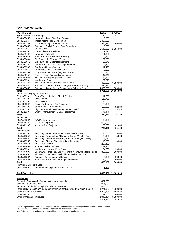#### **CAPITAL PROGRAMME**

| <b>PORTFOLIO:</b>                                                                 |                                                                  | 2013/14                | 2014/15    |
|-----------------------------------------------------------------------------------|------------------------------------------------------------------|------------------------|------------|
| Sports, Leisure and Heritage                                                      |                                                                  | £                      | £          |
| C954/A2705D                                                                       | Harpenden Town FC - Roof Repairs                                 | 9,800                  |            |
| C954/A2715F                                                                       | Westminster Lodge Development                                    | 1,457,520              |            |
| C954/A2735B                                                                       | Leisure Buildings - Refurbishment                                | 230,450                | 100,000    |
| C954/A2745E                                                                       | Batchwood Golf & Tennis - Roof (retention)                       | 5,700                  |            |
| C954/A2755E                                                                       | Cotlandswick                                                     | 1,545,000              | 2,955,000  |
| C954/A2910C                                                                       | <b>HSC/Jubilee Refurbishment</b>                                 | 7,290                  |            |
| C954/A2940F                                                                       | Harpenden Public Hall                                            | 1,600                  |            |
| C954/A3004H                                                                       | Town Hall - Refurbish Main Building                              | 9,330                  |            |
| C954/A3004K                                                                       | Old Town Hall - External Works                                   | 22,000                 |            |
| C954/A3004L                                                                       | Old Town Hall - Boiler Replacement                               | 25,840                 |            |
| C954/A3016C                                                                       | Verulamium Museum - DDA Improvements                             | 7,400                  |            |
| C954/A3056B                                                                       | <b>Eco-Dev Initiatives Support</b>                               | 17,420                 |            |
| C954/A2655C                                                                       | <b>Rothamsted Park - Tennis Courts</b>                           | 9,360                  |            |
| C954/A2615N                                                                       | Longacres Open Space (play equipment)                            | 930                    |            |
| C954/A2615P                                                                       | Fleetville Open Space (play equipment)                           | 47,340                 |            |
| C954/A2705F                                                                       | Nicholas Breakspear (astro turf pitches)                         | 83,540                 |            |
| C954/A2650H                                                                       | Verulamium Park                                                  | 22,570                 |            |
| C954/A3012B                                                                       | New Museum and Galleries Project (note 3)                        | 450,000                | 6,050,000  |
| C954/A27***                                                                       | Batchwood Golf and Bowls Clubs (replacement following fire)      | 439,350                |            |
| C954/A2745F<br><b>Total</b>                                                       | Batchwood Tennis Centre (replacement following fire)             | 4,389,250              | 1,500,000  |
|                                                                                   | Community, Engagement & Localism                                 | 8,781,690              | 10,605,000 |
| C951/A6020L                                                                       | Green Travel - Includes Electric Vehicles                        | 11,500                 |            |
| C951/A6020P                                                                       | <b>Cycle Routes</b>                                              | 116,790                |            |
| C951/A6020Q                                                                       | <b>Bus Shelters</b>                                              | 24,000                 |            |
| C951/B6020B                                                                       | <b>Quality Partnerships Bus Network</b>                          | 70,000                 |            |
| C951/B6020C                                                                       | Street Scene - Improvement                                       | 100,000                | 52,980     |
| C951/B6020D                                                                       | City Centre Public Realm enhancement - Traffic                   | 110,000                | 23,240     |
| C953/A1210H                                                                       | CCTV - Improvement - 5 Year Programme                            | 37,980                 |            |
| Total                                                                             |                                                                  | 470,270                | 76,220     |
| Resources                                                                         |                                                                  |                        |            |
| C952/A5530A                                                                       | Pc's Printers, Servers                                           | 100,000                |            |
| C952/C5530C                                                                       | Office reconfiguration                                           | 600,000                |            |
| C950/A1110B                                                                       | Invest to Save Projects                                          | 20,000                 | 61,400     |
| <b>Total</b>                                                                      |                                                                  | 720,000                | 61,400     |
| <b>Environmental</b>                                                              |                                                                  |                        |            |
| C954/A1555D                                                                       | Recycling - Replace Reusable Bags - Green Waste                  | 15,000                 | 5,000      |
| C954/A1555K                                                                       | Recycling - Replace Lost / Damaged Green Wheeled Bins            | 30,990                 | 5,000      |
| C954/A1555M                                                                       | Recycling - Additional Recycling Banks to Flats (HCC 75%)        | 8,150                  |            |
| C954/A1555R                                                                       | Recycling - Bins for Flats - New Developments                    | 19,200                 | 10,000     |
| C954/A1555X                                                                       | <b>HCC WICG Project</b>                                          | 207,400                |            |
| C954/A2605A                                                                       | Improve Disabled Access                                          | 19,400                 |            |
| C954/A2650H                                                                       | Verulamium Heritage Park Project                                 | 24,790                 | 20,000     |
| C954/A5000C                                                                       | Energy/water efficiency and investment in renewable technologies | 350,000                | 200,000    |
| C955/A1505C                                                                       | Air Quality Scheme- Holywell Hill and Peahen Junction            | 250                    |            |
| C953/A1256A                                                                       | <b>Economic Development Inititatives</b>                         | 5,000                  | 20,000     |
| C953/A1256B                                                                       | Investment in Renewable energy technologies                      | 150,000                | 100,000    |
| Total                                                                             |                                                                  | 830,180                | 360,000    |
| Planning & Executive Leader                                                       |                                                                  |                        |            |
| C951/A4560A                                                                       | Document Management System - PDG                                 | 1,320                  |            |
|                                                                                   |                                                                  |                        |            |
| <b>Total Expenditure</b>                                                          |                                                                  | 10,803,460             | 11,102,620 |
|                                                                                   |                                                                  |                        |            |
| <u>Funded By</u>                                                                  |                                                                  |                        |            |
| Prudential Borrowing for Westminster Lodge (note 1)<br>Section 106 Cotlandswick   | 1,457,520                                                        |                        |            |
| Revenue contribution to capital/ funded from reserves                             | 1,095,000<br>480,000                                             |                        |            |
| Other capital receipts and insurance settlement for Batchwood fire claim (note 2) |                                                                  |                        |            |
| Other prudential borrowing                                                        | 3,271,990<br>2,303,806                                           | 1,500,000<br>3,552,620 |            |
| Other Section 106                                                                 | 149,680                                                          | 500,000                |            |
| Other grants and contributions                                                    | 2,045,464                                                        | 5,550,000              |            |
|                                                                                   | 10,803,460                                                       | 11,102,620             |            |

Note 1: Capital receipt from sale of Ridgeview will be used to repay some of the prudential borrowing when received

Note 2 Batchwood Schemes are subject to confirmation of insurance settlement Nate 3 New Museums and Gallery project subject to confirmation of funding proposals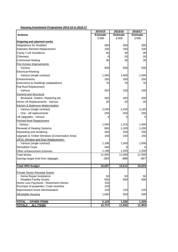## **Housing Investment Programme 2014-15 to 2016-17**

|                                               | 2014/15         | 2015/16         | 2016/17         |
|-----------------------------------------------|-----------------|-----------------|-----------------|
| <b>Scheme</b>                                 | <b>Estimate</b> | <b>Estimate</b> | <b>Estimate</b> |
|                                               | £'000           | £'000           | £'000           |
| Ongoing and planned works                     |                 |                 |                 |
| <b>Adaptations for Disabled</b>               | 300             | 300             | 300             |
| Asbestos Element Replacement                  | 100             | 100             | 100             |
| Cavity / Loft Insulations                     | 40              | 40              | 40              |
| Chimneys                                      | 0               | 20              | 20              |
| Communal Heating                              | 30              | 30              | 30              |
| <b>Fire Access Improvements</b>               |                 |                 |                 |
| - Various                                     | 500             | 500             | 500             |
| <b>Electrical Rewiring</b>                    |                 |                 |                 |
| - Various (single contract)                   | 1,000           | 1,000           | 1,000           |
| Enhancements                                  | 250             | 250             | 250             |
| Extensions to Dwellings (adaptations)         | 70              | 70              | 70              |
| Flat Roof Replacement                         |                 |                 |                 |
| - Various                                     | 452             | 100             | 100             |
| General and Structural                        |                 |                 |                 |
| Brickwork, Gutters, Plastering etc            | 450             | 450             | 450             |
| Home Lift Replacements - Various              | 20              | 20              | 20              |
| Kitchen & Bathroom Modernisation              |                 |                 |                 |
| - Various (single contract)                   | 2,500           | 2,250           | 2,165           |
| - One - off replacements                      | 250             | 250             | 250             |
| Lift Upgrades - Various                       | 4               | 5               | 5               |
| <b>Pitched Roof Replacement</b>               |                 |                 |                 |
| - Various                                     | 1,000           | 1,315           | 1,400           |
| Renewal of Heating Systems                    | 850             | 1,200           | 1,200           |
| Repointing and rendering                      | 200             | 250             | 250             |
| Upgrade to Timber Windows (Conservation Area) | 150             | 150             | 150             |
| UPVC Window and Door Replacement              |                 |                 |                 |
| - Various (single contract)                   | 1,196           | 1,500           | 1,500           |
| <b>Demolition Costs</b>                       | 440             | 0               | 0               |
| Other enhancement schemes                     | 1,198           | 1,200           | 1,200           |
| <b>Total Works</b>                            | 11,000          | 11,000          | 11,000          |
| Savings target (met from slippage)            | $-393$          | $-388$          | $-367$          |
|                                               |                 |                 |                 |
| <b>Total HRA budget</b>                       | 10,607          | 10,612          | 10,633          |
|                                               |                 |                 |                 |
| <b>Private Sector Renewal Grants</b>          |                 |                 |                 |
| - Home Repair Assistance                      | 50              | 50              | 50              |
| - Disabled Facility Grants                    | 650             | 650             | 650             |
| Home Loss Payments - Retirement Homes         | 150             |                 |                 |
| Purchase of properties / Cash incentive       | 150             |                 |                 |
| Improvement Grant Administration              | 120             | 120             | 120             |
| Affordable Housing                            | 1,000           | 500             | 500             |
|                                               |                 |                 |                 |
| <b>TOTAL - OTHER ITEMS</b>                    | 2,120           | 1,320           | 1,320           |
| <b>TOTALS - ALL ITEMS</b>                     | 12,727          | 11,932          | 11,953          |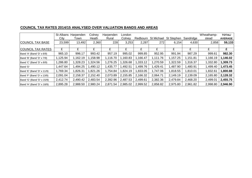## **COUNCIL TAX RATES 2014/15 ANALYSED OVER VALUATION BANDS AND AREAS**

|                            | St Albans | Harpenden | Colney   | Harpenden | London   |          |                   |            |           | Wheathamp- | <b>TOTAL/</b>  |
|----------------------------|-----------|-----------|----------|-----------|----------|----------|-------------------|------------|-----------|------------|----------------|
|                            | City      | Town      | Heath    | Rural     | Colney   | Redbourn | <b>St Michael</b> | St Stephen | Sandridge | stead      | <b>AVERAGE</b> |
| <b>COUNCIL TAX BASE</b>    | 23,599    | 13,492    | 2,360    | 228       | 3,253    | 2,287    | 272               | 6,154      | 4,630     | 2,858      | 59,133         |
|                            |           |           |          |           |          |          |                   |            |           |            |                |
| <b>COUNCIL TAX RATES</b>   | £         |           |          | £         |          | £        | £                 |            | £         | £          |                |
| Band 'A' (Band 'D' x 6/9)  | 965.10    | 996.17    | 993.42   | 957.19    | 995.02   | 999.85   | 952.95            | 991.94     | 987.29    | 999.61     | 982.30         |
| Band 'B' (Band 'D' x 7/9)  | 1,125.94  | 1,162.19  | ,158.98  | 1,116.70  | 1,160.83 | 1,166.47 | 1,111.76          | 1,157.25   | 1,151.81  | 1,166.19   | 1,146.02       |
| Band 'C' (Band 'D' x 8/9)  | 1,286.80  | 1,328.23  | ,324.56  | 1,276.25  | 326.68   | 1,333.12 | 1,270.59          | 322.59     | 1,316.37  | 1,332.80   | 1,309.73       |
| Band 'D'                   | .447.64 ا | 1,494.25  | ,490.12  | 1,435.77  | ,492.51  | 1,499.76 | 429.41,           | ,487.90    | ,480.91   | 1,499.40   | 1,473.45       |
| Band 'E' (Band 'D' x 11/9) | 1,769.34  | 1,826.31  | ,821.26  | 1,754.84  | 1,824.19 | 1,833.05 | 1,747.06          | 818.55     | 1,810.01  | 1,832.61   | 1,800.88       |
| Band 'F' (Band 'D' x 13/9) | 2,091.04  | 2,158.37  | 2,152.40 | 2,073.89  | 2,155.85 | 2,166.32 | 2,064.71          | 2,149.19   | 2,139.09  | 2,165.80   | 2,128.32       |
| Band 'G' (Band 'D' x 15/9) | 2,412.74  | 2,490.42  | 2,483.54 | 2,392.96  | 2,487.53 | 2,499.61 | 2,382.36          | 2,479.84   | 2,468.20  | 2,499.01   | 2,455.75       |
| Band 'H' (Band 'D' x 18/9) | 2,895.28  | 2.988.50  | 2,980.24 | 2.871.54  | 2,985.02 | 2,999.52 | 2,858.82          | 2,975.80   | 2,961.82  | 2,998.80   | 2,946.90       |